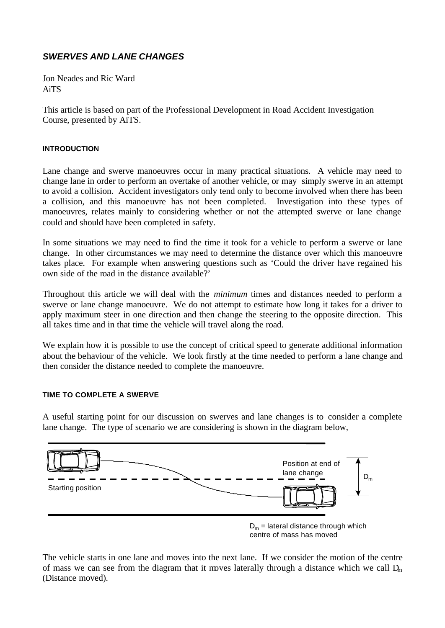# *SWERVES AND LANE CHANGES*

Jon Neades and Ric Ward AiTS

This article is based on part of the Professional Development in Road Accident Investigation Course, presented by AiTS.

## **INTRODUCTION**

Lane change and swerve manoeuvres occur in many practical situations. A vehicle may need to change lane in order to perform an overtake of another vehicle, or may simply swerve in an attempt to avoid a collision. Accident investigators only tend only to become involved when there has been a collision, and this manoeuvre has not been completed. Investigation into these types of manoeuvres, relates mainly to considering whether or not the attempted swerve or lane change could and should have been completed in safety.

In some situations we may need to find the time it took for a vehicle to perform a swerve or lane change. In other circumstances we may need to determine the distance over which this manoeuvre takes place. For example when answering questions such as 'Could the driver have regained his own side of the road in the distance available?'

Throughout this article we will deal with the *minimum* times and distances needed to perform a swerve or lane change manoeuvre. We do not attempt to estimate how long it takes for a driver to apply maximum steer in one direction and then change the steering to the opposite direction. This all takes time and in that time the vehicle will travel along the road.

We explain how it is possible to use the concept of critical speed to generate additional information about the behaviour of the vehicle. We look firstly at the time needed to perform a lane change and then consider the distance needed to complete the manoeuvre.

## **TIME TO COMPLETE A SWERVE**

A useful starting point for our discussion on swerves and lane changes is to consider a complete lane change. The type of scenario we are considering is shown in the diagram below,



centre of mass has moved

The vehicle starts in one lane and moves into the next lane. If we consider the motion of the centre of mass we can see from the diagram that it moves laterally through a distance which we call  $D_m$ (Distance moved).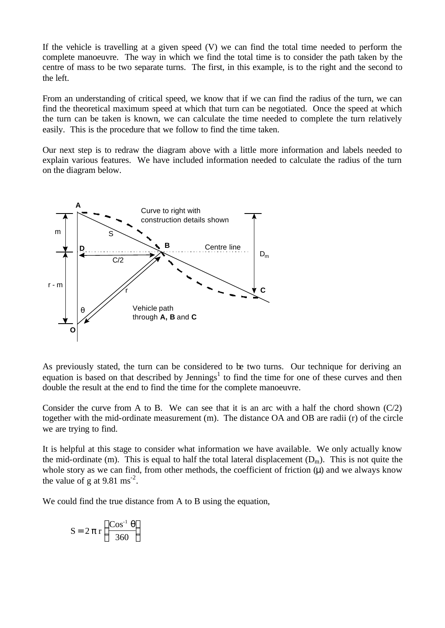If the vehicle is travelling at a given speed (V) we can find the total time needed to perform the complete manoeuvre. The way in which we find the total time is to consider the path taken by the centre of mass to be two separate turns. The first, in this example, is to the right and the second to the left.

From an understanding of critical speed, we know that if we can find the radius of the turn, we can find the theoretical maximum speed at which that turn can be negotiated. Once the speed at which the turn can be taken is known, we can calculate the time needed to complete the turn relatively easily. This is the procedure that we follow to find the time taken.

Our next step is to redraw the diagram above with a little more information and labels needed to explain various features. We have included information needed to calculate the radius of the turn on the diagram below.



As previously stated, the turn can be considered to be two turns. Our technique for deriving an equation is based on that described by Jennings<sup>1</sup> to find the time for one of these curves and then double the result at the end to find the time for the complete manoeuvre.

Consider the curve from A to B. We can see that it is an arc with a half the chord shown  $(C/2)$ together with the mid-ordinate measurement (m). The distance OA and OB are radii (r) of the circle we are trying to find.

It is helpful at this stage to consider what information we have available. We only actually know the mid-ordinate (m). This is equal to half the total lateral displacement  $(D_m)$ . This is not quite the whole story as we can find, from other methods, the coefficient of friction  $(\mu)$  and we always know the value of g at  $9.81 \text{ ms}^{-2}$ .

We could find the true distance from A to B using the equation,

$$
S = 2 \pi r \left( \frac{\cos^{-1} \theta}{360} \right)
$$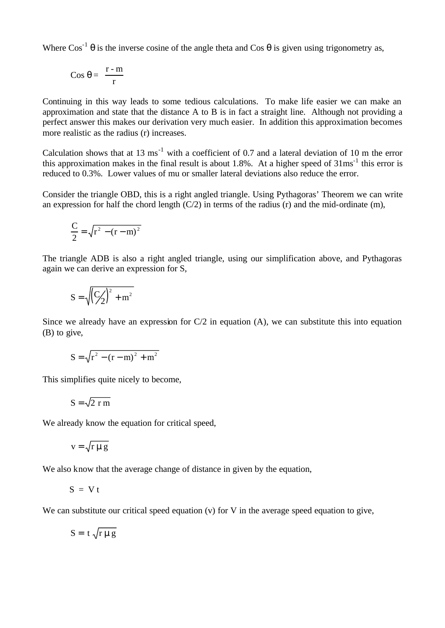Where  $\cos^{-1} \theta$  is the inverse cosine of the angle theta and  $\cos \theta$  is given using trigonometry as,

$$
Cos \theta = \frac{r - m}{r}
$$

Continuing in this way leads to some tedious calculations. To make life easier we can make an approximation and state that the distance A to B is in fact a straight line. Although not providing a perfect answer this makes our derivation very much easier. In addition this approximation becomes more realistic as the radius (r) increases.

Calculation shows that at 13 ms<sup>-1</sup> with a coefficient of 0.7 and a lateral deviation of 10 m the error this approximation makes in the final result is about 1.8%. At a higher speed of  $31 \text{ms}^{-1}$  this error is reduced to 0.3%. Lower values of mu or smaller lateral deviations also reduce the error.

Consider the triangle OBD, this is a right angled triangle. Using Pythagoras' Theorem we can write an expression for half the chord length  $(C/2)$  in terms of the radius (r) and the mid-ordinate (m),

$$
\frac{C}{2} = \sqrt{r^2 - (r - m)^2}
$$

The triangle ADB is also a right angled triangle, using our simplification above, and Pythagoras again we can derive an expression for S,

$$
S=\sqrt{\left(\frac{C}{2}\right)^2+m^2}
$$

Since we already have an expression for  $C/2$  in equation (A), we can substitute this into equation (B) to give,

$$
S = \sqrt{r^2 - (r - m)^2 + m^2}
$$

This simplifies quite nicely to become,

$$
S = \sqrt{2 r m}
$$

We already know the equation for critical speed,

$$
v = \sqrt{r \mu g}
$$

We also know that the average change of distance in given by the equation,

$$
S = V t
$$

We can substitute our critical speed equation (v) for V in the average speed equation to give,

$$
S = t \sqrt{r \mu g}
$$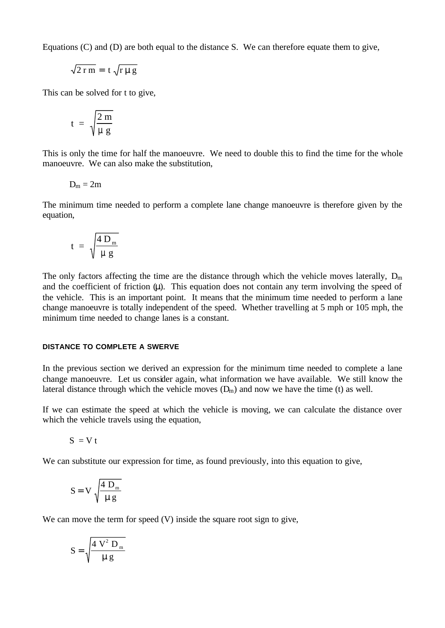Equations (C) and (D) are both equal to the distance S. We can therefore equate them to give,

$$
\sqrt{2 \, r \, m} = \, t \, \sqrt{r \, \mu \, g}
$$

This can be solved for t to give,

$$
t = \sqrt{\frac{2 \text{ m}}{\mu \text{ g}}}
$$

This is only the time for half the manoeuvre. We need to double this to find the time for the whole manoeuvre. We can also make the substitution,

$$
D_m=2m
$$

The minimum time needed to perform a complete lane change manoeuvre is therefore given by the equation,

$$
t = \sqrt{\frac{4 D_m}{\mu g}}
$$

The only factors affecting the time are the distance through which the vehicle moves laterally,  $D_m$ and the coefficient of friction (μ). This equation does not contain any term involving the speed of the vehicle. This is an important point. It means that the minimum time needed to perform a lane change manoeuvre is totally independent of the speed. Whether travelling at 5 mph or 105 mph, the minimum time needed to change lanes is a constant.

#### **DISTANCE TO COMPLETE A SWERVE**

In the previous section we derived an expression for the minimum time needed to complete a lane change manoeuvre. Let us consider again, what information we have available. We still know the lateral distance through which the vehicle moves  $(D_m)$  and now we have the time (t) as well.

If we can estimate the speed at which the vehicle is moving, we can calculate the distance over which the vehicle travels using the equation,

$$
S = V t
$$

We can substitute our expression for time, as found previously, into this equation to give,

$$
S = V \sqrt{\frac{4 D_m}{\mu g}}
$$

We can move the term for speed (V) inside the square root sign to give,

$$
S = \sqrt{\frac{4 V^2 D_m}{\mu g}}
$$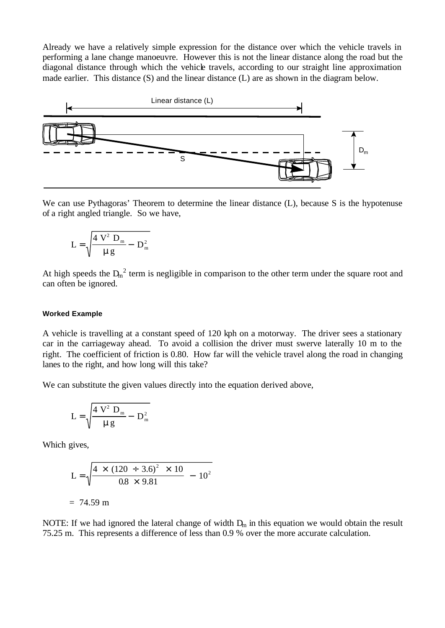Already we have a relatively simple expression for the distance over which the vehicle travels in performing a lane change manoeuvre. However this is not the linear distance along the road but the diagonal distance through which the vehicle travels, according to our straight line approximation made earlier. This distance (S) and the linear distance (L) are as shown in the diagram below.



We can use Pythagoras' Theorem to determine the linear distance (L), because S is the hypotenuse of a right angled triangle. So we have,

$$
L = \sqrt{\frac{4 V^2 D_m}{\mu g}} - D_m^2
$$

At high speeds the  $D_m^2$  term is negligible in comparison to the other term under the square root and can often be ignored.

#### **Worked Example**

A vehicle is travelling at a constant speed of 120 kph on a motorway. The driver sees a stationary car in the carriageway ahead. To avoid a collision the driver must swerve laterally 10 m to the right. The coefficient of friction is 0.80. How far will the vehicle travel along the road in changing lanes to the right, and how long will this take?

We can substitute the given values directly into the equation derived above,

$$
L = \sqrt{\frac{4 V^2 D_m}{\mu g} - D_m^2}
$$

Which gives,

$$
L = \sqrt{\frac{4 \times (120 \div 3.6)^2 \times 10}{0.8 \times 9.81} - 10^2}
$$

 $= 74.59 \text{ m}$ 

NOTE: If we had ignored the lateral change of width  $D_m$  in this equation we would obtain the result 75.25 m. This represents a difference of less than 0.9 % over the more accurate calculation.